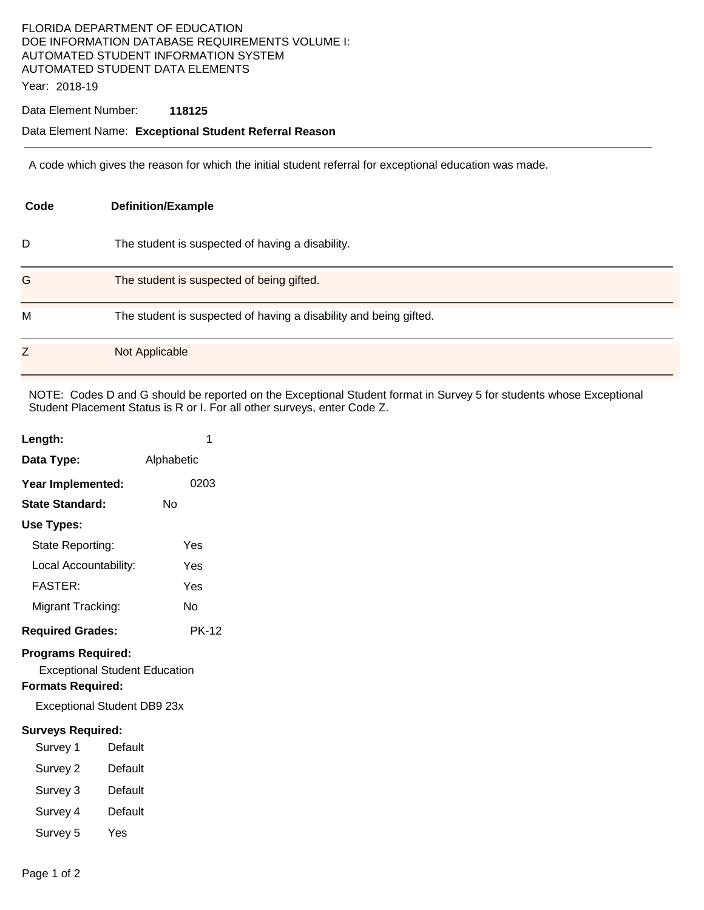# FLORIDA DEPARTMENT OF EDUCATION DOE INFORMATION DATABASE REQUIREMENTS VOLUME I: AUTOMATED STUDENT INFORMATION SYSTEM AUTOMATED STUDENT DATA ELEMENTS

Year: 2018-19

#### Data Element Number: **118125**

### Data Element Name: **Exceptional Student Referral Reason**

A code which gives the reason for which the initial student referral for exceptional education was made.

| Code | <b>Definition/Example</b>                                         |  |  |
|------|-------------------------------------------------------------------|--|--|
| D    | The student is suspected of having a disability.                  |  |  |
| G    | The student is suspected of being gifted.                         |  |  |
| M    | The student is suspected of having a disability and being gifted. |  |  |
| Z    | Not Applicable                                                    |  |  |

NOTE: Codes D and G should be reported on the Exceptional Student format in Survey 5 for students whose Exceptional Student Placement Status is R or I. For all other surveys, enter Code Z.

| Length:                                                                                                                             | 1          |  |
|-------------------------------------------------------------------------------------------------------------------------------------|------------|--|
| Data Type:                                                                                                                          | Alphabetic |  |
| Year Implemented:                                                                                                                   | 0203       |  |
| State Standard:                                                                                                                     | Nο         |  |
| Use Types:                                                                                                                          |            |  |
| State Reporting:                                                                                                                    | Yes        |  |
| Local Accountability:                                                                                                               | Yes        |  |
| <b>FASTER:</b>                                                                                                                      | Yes        |  |
| Migrant Tracking:                                                                                                                   | No         |  |
| <b>Required Grades:</b>                                                                                                             | PK-12      |  |
| <b>Programs Required:</b><br><b>Exceptional Student Education</b><br><b>Formats Required:</b><br><b>Exceptional Student DB9 23x</b> |            |  |
| <b>Surveys Required:</b>                                                                                                            |            |  |

- Survey 1 Default
- Survey 2 Default
- Survey 3 Default
- Survey 4 Default
- Survey 5 Yes